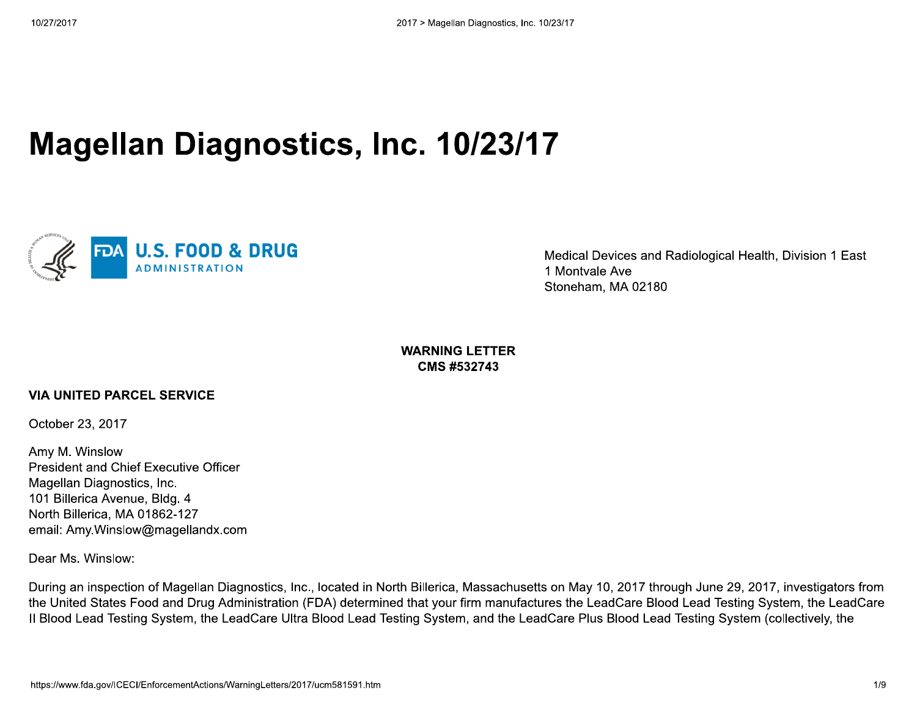# **Magellan Diagnostics, Inc. 10/23/17**



Medical Devices and Radiological Health, Division 1 East 1 Montvale Ave Stoneham, MA 02180

**WARNING LETTER CMS #532743** 

### **VIA UNITED PARCEL SERVICE**

October 23, 2017

Amy M. Winslow **President and Chief Executive Officer** Magellan Diagnostics, Inc. 101 Billerica Avenue, Bldg. 4 North Billerica. MA 01862-127 email: Amy.Winslow@magellandx.com

Dear Ms. Winslow:

During an inspection of Magellan Diagnostics, Inc., located in North Billerica, Massachusetts on May 10, 2017 through June 29, 2017, investigators from the United States Food and Drug Administration (FDA) determined that your firm manufactures the LeadCare Blood Lead Testing System, the LeadCare II Blood Lead Testing System, the LeadCare Ultra Blood Lead Testing System, and the LeadCare Plus Blood Lead Testing System (collectively, the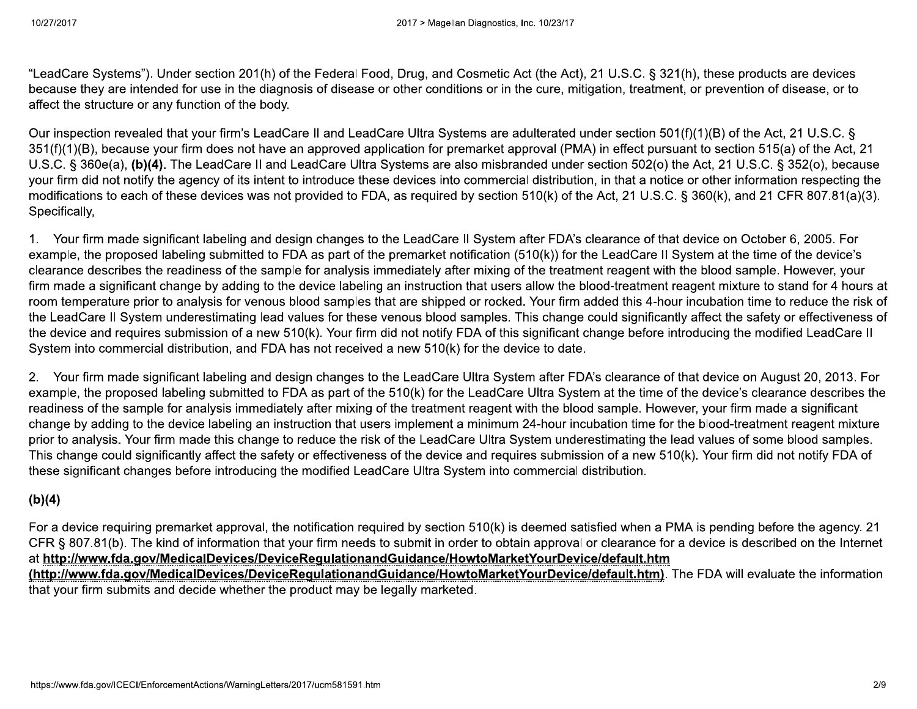"LeadCare Systems"). Under section 201(h) of the Federal Food, Drug, and Cosmetic Act (the Act), 21 U.S.C. § 321(h), these products are devices because they are intended for use in the diagnosis of disease or other conditions or in the cure, mitigation, treatment, or prevention of disease, or to affect the structure or any function of the body.

Our inspection revealed that your firm's LeadCare II and LeadCare Ultra Systems are adulterated under section 501(f)(1)(B) of the Act, 21 U.S.C. § 351(f)(1)(B), because your firm does not have an approved application for premarket approval (PMA) in effect pursuant to section 515(a) of the Act, 21 U.S.C. § 360e(a), (b)(4). The LeadCare II and LeadCare Ultra Systems are also misbranded under section 502(o) the Act, 21 U.S.C. § 352(o), because your firm did not notify the agency of its intent to introduce these devices into commercial distribution, in that a notice or other information respecting the modifications to each of these devices was not provided to FDA, as required by section 510(k) of the Act, 21 U.S.C. § 360(k), and 21 CFR 807.81(a)(3). Specifically,

1. Your firm made significant labeling and design changes to the LeadCare II System after FDA's clearance of that device on October 6, 2005. For example, the proposed labeling submitted to FDA as part of the premarket notification (510(k)) for the LeadCare II System at the time of the device's clearance describes the readiness of the sample for analysis immediately after mixing of the treatment reagent with the blood sample. However, your firm made a significant change by adding to the device labeling an instruction that users allow the blood-treatment reagent mixture to stand for 4 hours at room temperature prior to analysis for venous blood samples that are shipped or rocked. Your firm added this 4-hour incubation time to reduce the risk of the LeadCare II System underestimating lead values for these venous blood samples. This change could significantly affect the safety or effectiveness of the device and requires submission of a new 510(k). Your firm did not notify FDA of this significant change before introducing the modified LeadCare II System into commercial distribution, and FDA has not received a new 510(k) for the device to date.

2. Your firm made significant labeling and design changes to the LeadCare Ultra System after FDA's clearance of that device on August 20, 2013. For example, the proposed labeling submitted to FDA as part of the 510(k) for the LeadCare Ultra System at the time of the device's clearance describes the readiness of the sample for analysis immediately after mixing of the treatment reagent with the blood sample. However, your firm made a significant change by adding to the device labeling an instruction that users implement a minimum 24-hour incubation time for the blood-treatment reagent mixture prior to analysis. Your firm made this change to reduce the risk of the LeadCare Ultra System underestimating the lead values of some blood samples. This change could significantly affect the safety or effectiveness of the device and requires submission of a new 510(k). Your firm did not notify FDA of these significant changes before introducing the modified LeadCare Ultra System into commercial distribution.

## $(b)(4)$

For a device requiring premarket approval, the notification required by section 510(k) is deemed satisfied when a PMA is pending before the agency. 21 CFR § 807.81(b). The kind of information that your firm needs to submit in order to obtain approval or clearance for a device is described on the Internet at http://www.fda.gov/MedicalDevices/DeviceRegulationandGuidance/HowtoMarketYourDevice/default.htm

(http://www.fda.gov/MedicalDevices/DeviceRegulationandGuidance/HowtoMarketYourDevice/default.htm). The FDA will evaluate the information that your firm submits and decide whether the product may be legally marketed.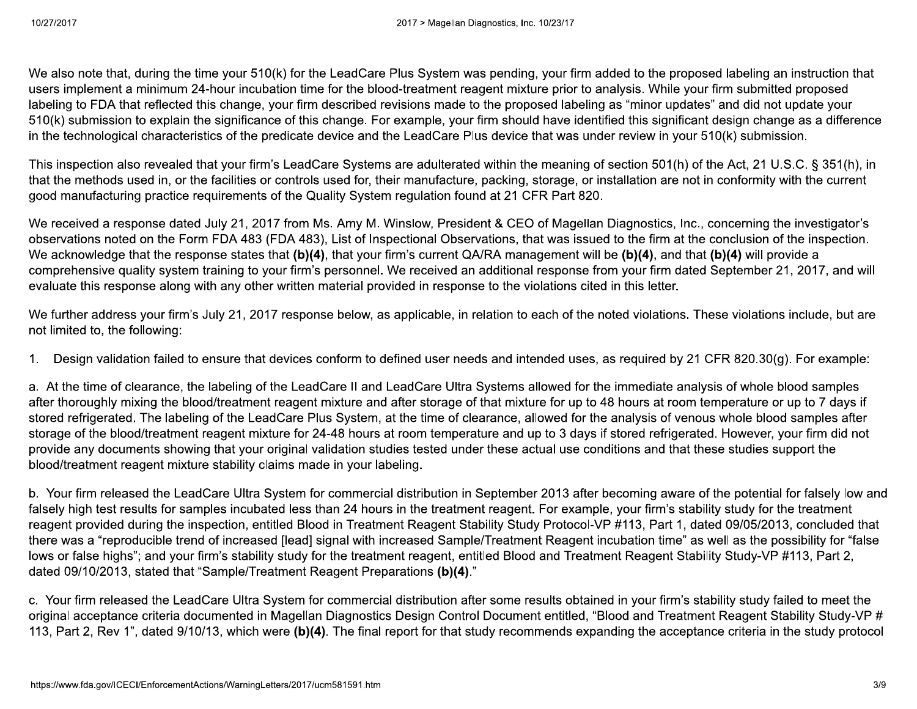We also note that, during the time your 510(k) for the LeadCare Plus System was pending, your firm added to the proposed labeling an instruction that users implement a minimum 24-hour incubation time for the blood-treatment reagent mixture prior to analysis. While your firm submitted proposed labeling to FDA that reflected this change, your firm described revisions made to the proposed labeling as "minor updates" and did not update your 510(k) submission to explain the significance of this change. For example, your firm should have identified this significant design change as a difference in the technological characteristics of the predicate device and the LeadCare Plus device that was under review in your 510(k) submission.

This inspection also revealed that your firm's LeadCare Systems are adulterated within the meaning of section 501(h) of the Act, 21 U.S.C. § 351(h), in that the methods used in, or the facilities or controls used for, their manufacture, packing, storage, or installation are not in conformity with the current good manufacturing practice requirements of the Quality System regulation found at 21 CFR Part 820.

We received a response dated July 21, 2017 from Ms. Amy M. Winslow, President & CEO of Magellan Diagnostics, Inc., concerning the investigator's observations noted on the Form FDA 483 (FDA 483), List of Inspectional Observations, that was issued to the firm at the conclusion of the inspection. We acknowledge that the response states that (b)(4), that your firm's current QA/RA management will be (b)(4), and that (b)(4) will provide a comprehensive quality system training to your firm's personnel. We received an additional response from your firm dated September 21, 2017, and will evaluate this response along with any other written material provided in response to the violations cited in this letter.

We further address your firm's July 21, 2017 response below, as applicable, in relation to each of the noted violations. These violations include, but are not limited to, the following:

Design validation failed to ensure that devices conform to defined user needs and intended uses, as required by 21 CFR 820.30(q). For example:  $1_{\cdots}$ 

a. At the time of clearance, the labeling of the LeadCare II and LeadCare Ultra Systems allowed for the immediate analysis of whole blood samples after thoroughly mixing the blood/treatment reagent mixture and after storage of that mixture for up to 48 hours at room temperature or up to 7 days if stored refrigerated. The labeling of the LeadCare Plus System, at the time of clearance, allowed for the analysis of venous whole blood samples after storage of the blood/treatment reagent mixture for 24-48 hours at room temperature and up to 3 days if stored refrigerated. However, your firm did not provide any documents showing that your original validation studies tested under these actual use conditions and that these studies support the blood/treatment reagent mixture stability claims made in your labeling.

b. Your firm released the LeadCare Ultra System for commercial distribution in September 2013 after becoming aware of the potential for falsely low and falsely high test results for samples incubated less than 24 hours in the treatment reagent. For example, your firm's stability study for the treatment reagent provided during the inspection, entitled Blood in Treatment Reagent Stability Study Protocol-VP #113, Part 1, dated 09/05/2013, concluded that there was a "reproducible trend of increased [lead] signal with increased Sample/Treatment Reagent incubation time" as well as the possibility for "false lows or false highs"; and your firm's stability study for the treatment reagent, entitled Blood and Treatment Reagent Stability Study-VP #113, Part 2, dated 09/10/2013, stated that "Sample/Treatment Reagent Preparations (b)(4)."

c. Your firm released the LeadCare Ultra System for commercial distribution after some results obtained in your firm's stability study failed to meet the original acceptance criteria documented in Magellan Diagnostics Design Control Document entitled, "Blood and Treatment Reagent Stability Study-VP # 113, Part 2, Rev 1", dated 9/10/13, which were (b)(4). The final report for that study recommends expanding the acceptance criteria in the study protocol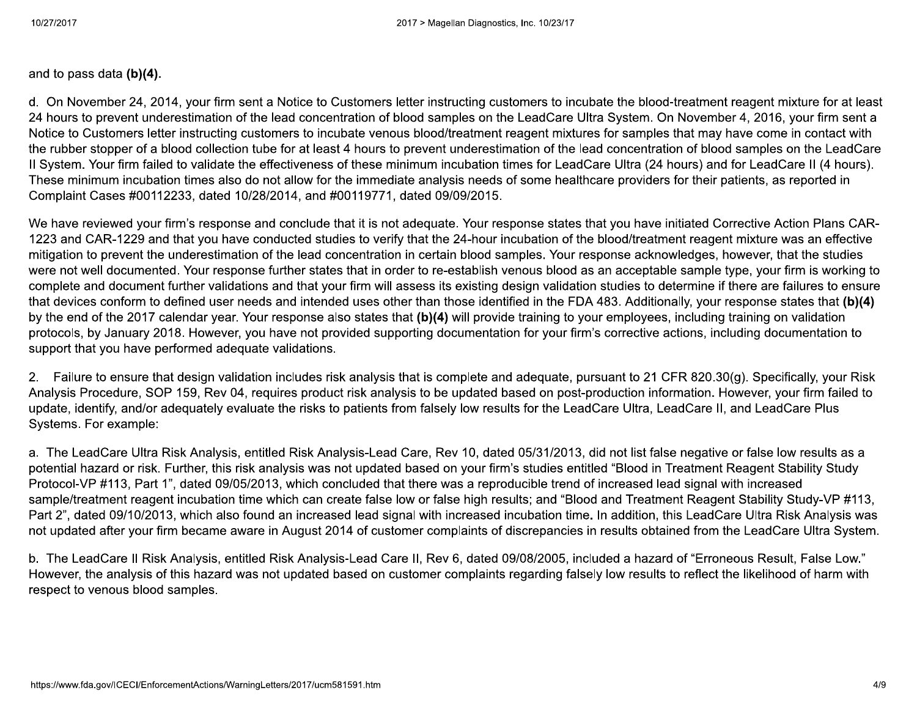and to pass data  $(b)(4)$ .

d. On November 24, 2014, your firm sent a Notice to Customers letter instructing customers to incubate the blood-treatment reagent mixture for at least 24 hours to prevent underestimation of the lead concentration of blood samples on the LeadCare Ultra System. On November 4, 2016, your firm sent a Notice to Customers letter instructing customers to incubate venous blood/treatment reagent mixtures for samples that may have come in contact with the rubber stopper of a blood collection tube for at least 4 hours to prevent underestimation of the lead concentration of blood samples on the LeadCare Il System. Your firm failed to validate the effectiveness of these minimum incubation times for LeadCare Ultra (24 hours) and for LeadCare II (4 hours). These minimum incubation times also do not allow for the immediate analysis needs of some healthcare providers for their patients, as reported in Complaint Cases #00112233, dated 10/28/2014, and #00119771, dated 09/09/2015.

We have reviewed your firm's response and conclude that it is not adequate. Your response states that you have initiated Corrective Action Plans CAR-1223 and CAR-1229 and that you have conducted studies to verify that the 24-hour incubation of the blood/treatment reagent mixture was an effective mitigation to prevent the underestimation of the lead concentration in certain blood samples. Your response acknowledges, however, that the studies were not well documented. Your response further states that in order to re-establish venous blood as an acceptable sample type, your firm is working to complete and document further validations and that your firm will assess its existing design validation studies to determine if there are failures to ensure that devices conform to defined user needs and intended uses other than those identified in the FDA 483. Additionally, your response states that (b)(4) by the end of the 2017 calendar year. Your response also states that (b)(4) will provide training to your employees, including training on validation protocols, by January 2018. However, you have not provided supporting documentation for your firm's corrective actions, including documentation to support that you have performed adequate validations.

2. Failure to ensure that design validation includes risk analysis that is complete and adequate, pursuant to 21 CFR 820.30(q). Specifically, your Risk Analysis Procedure, SOP 159, Rev 04, requires product risk analysis to be updated based on post-production information. However, your firm failed to update, identify, and/or adequately evaluate the risks to patients from falsely low results for the LeadCare Ultra, LeadCare II, and LeadCare Plus Systems. For example:

a. The LeadCare Ultra Risk Analysis, entitled Risk Analysis-Lead Care, Rev 10, dated 05/31/2013, did not list false negative or false low results as a potential hazard or risk. Further, this risk analysis was not updated based on your firm's studies entitled "Blood in Treatment Reagent Stability Study Protocol-VP #113, Part 1", dated 09/05/2013, which concluded that there was a reproducible trend of increased lead signal with increased sample/treatment reagent incubation time which can create false low or false high results; and "Blood and Treatment Reagent Stability Study-VP #113, Part 2", dated 09/10/2013, which also found an increased lead signal with increased incubation time. In addition, this LeadCare Ultra Risk Analysis was not updated after your firm became aware in August 2014 of customer complaints of discrepancies in results obtained from the LeadCare Ultra System.

b. The LeadCare II Risk Analysis, entitled Risk Analysis-Lead Care II, Rev 6, dated 09/08/2005, included a hazard of "Erroneous Result, False Low." However, the analysis of this hazard was not updated based on customer complaints regarding falsely low results to reflect the likelihood of harm with respect to venous blood samples.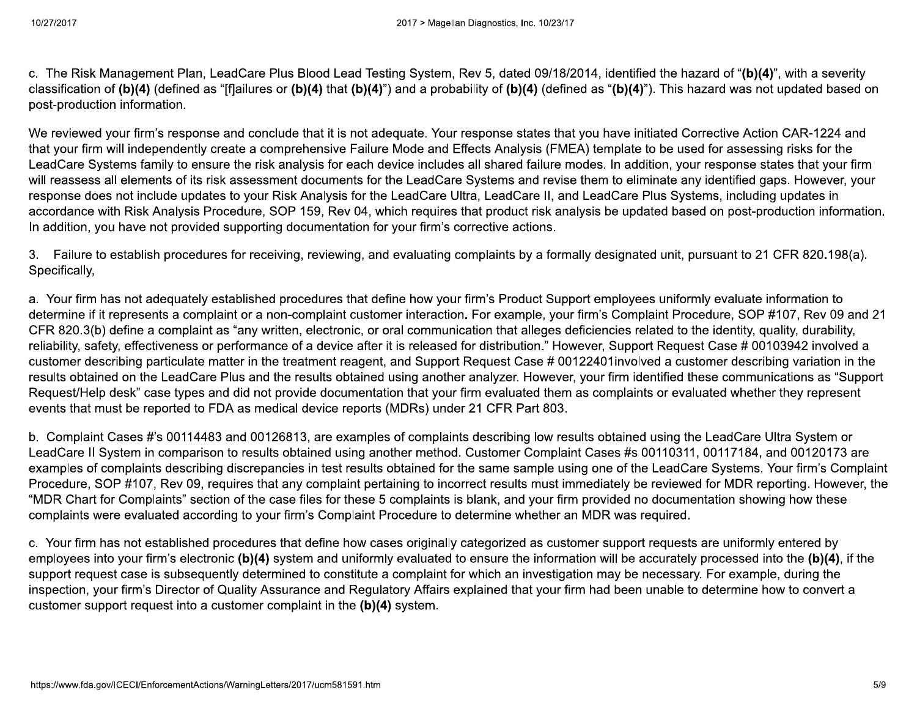c. The Risk Management Plan, LeadCare Plus Blood Lead Testing System, Rev 5, dated 09/18/2014, identified the hazard of "(b)(4)", with a severity classification of (b)(4) (defined as "[f]ailures or (b)(4) that (b)(4)") and a probability of (b)(4) (defined as "(b)(4)"). This hazard was not updated based on post-production information.

We reviewed your firm's response and conclude that it is not adequate. Your response states that you have initiated Corrective Action CAR-1224 and that your firm will independently create a comprehensive Failure Mode and Effects Analysis (FMEA) template to be used for assessing risks for the LeadCare Systems family to ensure the risk analysis for each device includes all shared failure modes. In addition, your response states that your firm will reassess all elements of its risk assessment documents for the LeadCare Systems and revise them to eliminate any identified gaps. However, your response does not include updates to your Risk Analysis for the LeadCare Ultra, LeadCare II, and LeadCare Plus Systems, including updates in accordance with Risk Analysis Procedure, SOP 159, Rev 04, which requires that product risk analysis be updated based on post-production information. In addition, you have not provided supporting documentation for your firm's corrective actions.

3. Failure to establish procedures for receiving, reviewing, and evaluating complaints by a formally designated unit, pursuant to 21 CFR 820.198(a). Specifically,

a. Your firm has not adequately established procedures that define how your firm's Product Support employees uniformly evaluate information to determine if it represents a complaint or a non-complaint customer interaction. For example, your firm's Complaint Procedure, SOP #107, Rev 09 and 21 CFR 820.3(b) define a complaint as "any written, electronic, or oral communication that alleges deficiencies related to the identity, quality, durability, reliability, safety, effectiveness or performance of a device after it is released for distribution." However, Support Request Case # 00103942 involved a customer describing particulate matter in the treatment reagent, and Support Request Case # 00122401 involved a customer describing variation in the results obtained on the LeadCare Plus and the results obtained using another analyzer. However, your firm identified these communications as "Support Request/Help desk" case types and did not provide documentation that your firm evaluated them as complaints or evaluated whether they represent events that must be reported to FDA as medical device reports (MDRs) under 21 CFR Part 803.

b. Complaint Cases #'s 00114483 and 00126813, are examples of complaints describing low results obtained using the LeadCare Ultra System or LeadCare II System in comparison to results obtained using another method. Customer Complaint Cases #s 00110311, 00117184, and 00120173 are examples of complaints describing discrepancies in test results obtained for the same sample using one of the LeadCare Systems. Your firm's Complaint Procedure, SOP #107, Rev 09, requires that any complaint pertaining to incorrect results must immediately be reviewed for MDR reporting. However, the "MDR Chart for Complaints" section of the case files for these 5 complaints is blank, and your firm provided no documentation showing how these complaints were evaluated according to your firm's Complaint Procedure to determine whether an MDR was required.

c. Your firm has not established procedures that define how cases originally categorized as customer support requests are uniformly entered by employees into your firm's electronic (b)(4) system and uniformly evaluated to ensure the information will be accurately processed into the (b)(4), if the support request case is subsequently determined to constitute a complaint for which an investigation may be necessary. For example, during the inspection, your firm's Director of Quality Assurance and Regulatory Affairs explained that your firm had been unable to determine how to convert a customer support request into a customer complaint in the (b)(4) system.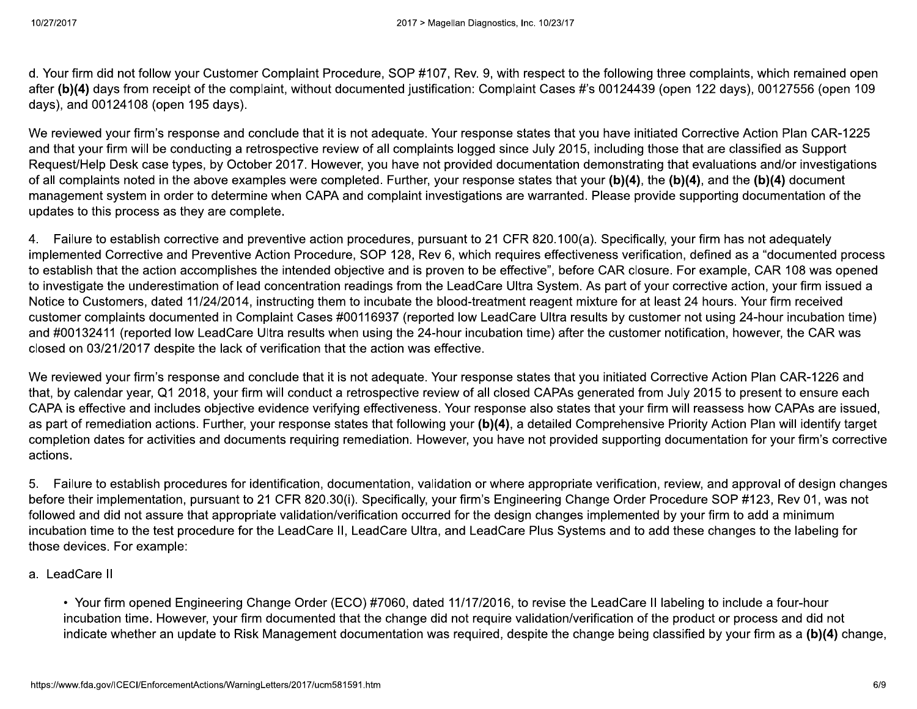d. Your firm did not follow your Customer Complaint Procedure, SOP #107, Rev. 9, with respect to the following three complaints, which remained open after (b)(4) days from receipt of the complaint, without documented justification: Complaint Cases #'s 00124439 (open 122 days), 00127556 (open 109 days), and 00124108 (open 195 days).

We reviewed your firm's response and conclude that it is not adequate. Your response states that you have initiated Corrective Action Plan CAR-1225 and that your firm will be conducting a retrospective review of all complaints logged since July 2015, including those that are classified as Support Request/Help Desk case types, by October 2017. However, you have not provided documentation demonstrating that evaluations and/or investigations of all complaints noted in the above examples were completed. Further, your response states that your (b)(4), the (b)(4), and the (b)(4) document management system in order to determine when CAPA and complaint investigations are warranted. Please provide supporting documentation of the updates to this process as they are complete.

4. Failure to establish corrective and preventive action procedures, pursuant to 21 CFR 820.100(a). Specifically, your firm has not adequately implemented Corrective and Preventive Action Procedure, SOP 128, Rev 6, which requires effectiveness verification, defined as a "documented process to establish that the action accomplishes the intended objective and is proven to be effective", before CAR closure. For example, CAR 108 was opened to investigate the underestimation of lead concentration readings from the LeadCare Ultra System. As part of your corrective action, your firm issued a Notice to Customers, dated 11/24/2014, instructing them to incubate the blood-treatment reagent mixture for at least 24 hours. Your firm received customer complaints documented in Complaint Cases #00116937 (reported low LeadCare Ultra results by customer not using 24-hour incubation time) and #00132411 (reported low LeadCare Ultra results when using the 24-hour incubation time) after the customer notification, however, the CAR was closed on 03/21/2017 despite the lack of verification that the action was effective.

We reviewed your firm's response and conclude that it is not adequate. Your response states that you initiated Corrective Action Plan CAR-1226 and that, by calendar year, Q1 2018, your firm will conduct a retrospective review of all closed CAPAs generated from July 2015 to present to ensure each CAPA is effective and includes objective evidence verifying effectiveness. Your response also states that your firm will reassess how CAPAs are issued, as part of remediation actions. Further, your response states that following your (b)(4), a detailed Comprehensive Priority Action Plan will identify target completion dates for activities and documents requiring remediation. However, you have not provided supporting documentation for your firm's corrective actions.

5. Failure to establish procedures for identification, documentation, validation or where appropriate verification, review, and approval of design changes before their implementation, pursuant to 21 CFR 820.30(i). Specifically, your firm's Engineering Change Order Procedure SOP #123, Rev 01, was not followed and did not assure that appropriate validation/verification occurred for the design changes implemented by your firm to add a minimum incubation time to the test procedure for the LeadCare II, LeadCare Ultra, and LeadCare Plus Systems and to add these changes to the labeling for those devices. For example:

### a. LeadCare II

• Your firm opened Engineering Change Order (ECO) #7060, dated 11/17/2016, to revise the LeadCare II labeling to include a four-hour incubation time. However, your firm documented that the change did not require validation/verification of the product or process and did not indicate whether an update to Risk Management documentation was required, despite the change being classified by your firm as a (b)(4) change,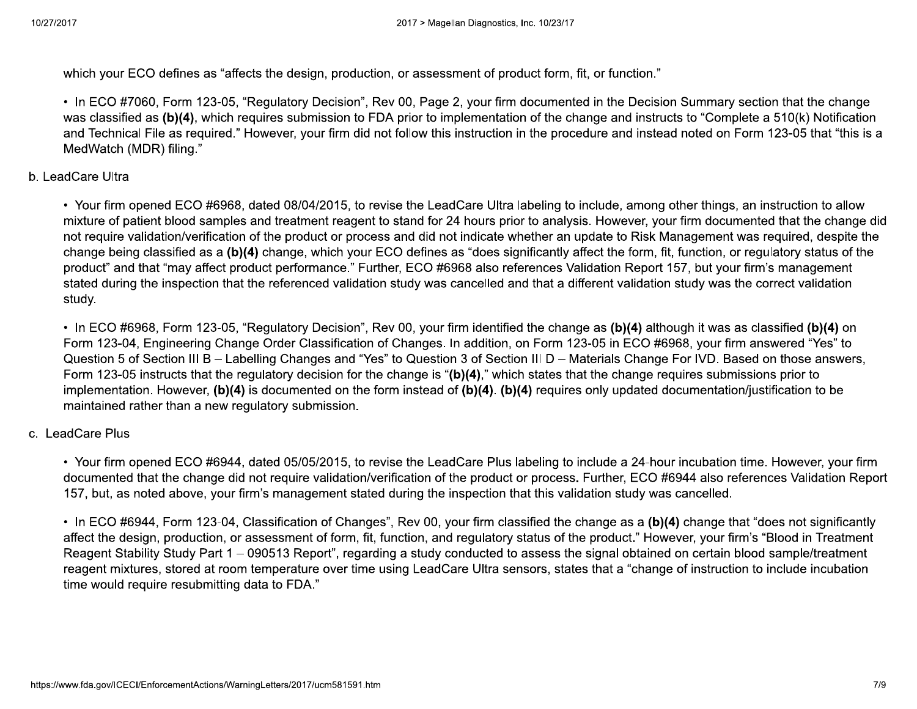which your ECO defines as "affects the design, production, or assessment of product form, fit, or function."

• In ECO #7060, Form 123-05, "Regulatory Decision", Rev 00, Page 2, your firm documented in the Decision Summary section that the change was classified as (b)(4), which requires submission to FDA prior to implementation of the change and instructs to "Complete a 510(k) Notification and Technical File as required." However, your firm did not follow this instruction in the procedure and instead noted on Form 123-05 that "this is a MedWatch (MDR) filing."

#### b. LeadCare Ultra

• Your firm opened ECO #6968, dated 08/04/2015, to revise the LeadCare Ultra labeling to include, among other things, an instruction to allow mixture of patient blood samples and treatment reagent to stand for 24 hours prior to analysis. However, your firm documented that the change did not require validation/verification of the product or process and did not indicate whether an update to Risk Management was required, despite the change being classified as a (b)(4) change, which your ECO defines as "does significantly affect the form, fit, function, or regulatory status of the product" and that "may affect product performance." Further, ECO #6968 also references Validation Report 157, but your firm's management stated during the inspection that the referenced validation study was cancelled and that a different validation study was the correct validation study.

• In ECO #6968, Form 123-05, "Regulatory Decision", Rev 00, your firm identified the change as (b)(4) although it was as classified (b)(4) on Form 123-04, Engineering Change Order Classification of Changes. In addition, on Form 123-05 in ECO #6968, your firm answered "Yes" to Question 5 of Section III B – Labelling Changes and "Yes" to Question 3 of Section III D – Materials Change For IVD. Based on those answers, Form 123-05 instructs that the regulatory decision for the change is "(b)(4)," which states that the change reguires submissions prior to implementation. However,  $(b)(4)$  is documented on the form instead of  $(b)(4)$ .  $(b)(4)$  requires only updated documentation/justification to be maintained rather than a new regulatory submission.

#### c. LeadCare Plus

• Your firm opened ECO #6944, dated 05/05/2015, to revise the LeadCare Plus labeling to include a 24-hour incubation time. However, your firm documented that the change did not require validation/verification of the product or process. Further, ECO #6944 also references Validation Report 157, but, as noted above, your firm's management stated during the inspection that this validation study was cancelled.

• In ECO #6944, Form 123-04, Classification of Changes", Rev 00, your firm classified the change as a (b)(4) change that "does not significantly affect the design, production, or assessment of form, fit, function, and regulatory status of the product." However, your firm's "Blood in Treatment Reagent Stability Study Part 1 – 090513 Report", regarding a study conducted to assess the signal obtained on certain blood sample/treatment reagent mixtures, stored at room temperature over time using LeadCare Ultra sensors, states that a "change of instruction to include incubation time would require resubmitting data to FDA."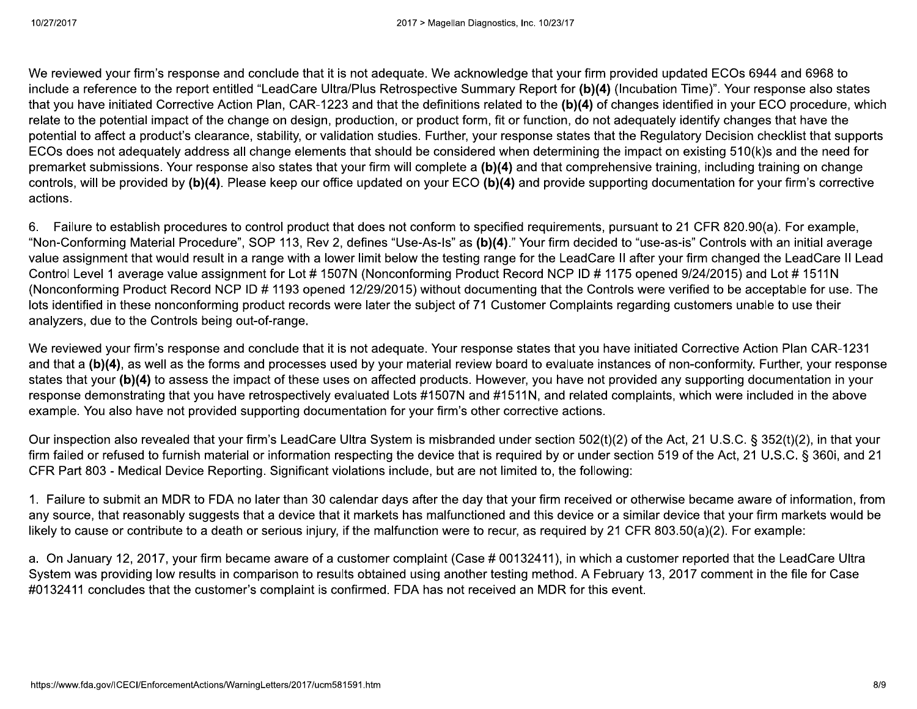We reviewed your firm's response and conclude that it is not adequate. We acknowledge that your firm provided updated ECOs 6944 and 6968 to include a reference to the report entitled "LeadCare Ultra/Plus Retrospective Summary Report for (b)(4) (Incubation Time)". Your response also states that you have initiated Corrective Action Plan, CAR-1223 and that the definitions related to the (b)(4) of changes identified in your ECO procedure, which relate to the potential impact of the change on design, production, or product form, fit or function, do not adequately identify changes that have the potential to affect a product's clearance, stability, or validation studies. Further, your response states that the Regulatory Decision checklist that supports ECOs does not adequately address all change elements that should be considered when determining the impact on existing 510(k)s and the need for premarket submissions. Your response also states that your firm will complete a (b)(4) and that comprehensive training, including training on change controls, will be provided by (b)(4). Please keep our office updated on your ECO (b)(4) and provide supporting documentation for your firm's corrective actions.

6. Failure to establish procedures to control product that does not conform to specified requirements, pursuant to 21 CFR 820.90(a). For example, "Non-Conforming Material Procedure", SOP 113, Rev 2, defines "Use-As-Is" as (b)(4)." Your firm decided to "use-as-is" Controls with an initial average value assignment that would result in a range with a lower limit below the testing range for the LeadCare II after your firm changed the LeadCare II Lead Control Level 1 average value assignment for Lot #1507N (Nonconforming Product Record NCP ID #1175 opened 9/24/2015) and Lot #1511N (Nonconforming Product Record NCP ID # 1193 opened 12/29/2015) without documenting that the Controls were verified to be acceptable for use. The lots identified in these nonconforming product records were later the subject of 71 Customer Complaints regarding customers unable to use their analyzers, due to the Controls being out-of-range.

We reviewed your firm's response and conclude that it is not adequate. Your response states that you have initiated Corrective Action Plan CAR-1231 and that a (b)(4), as well as the forms and processes used by your material review board to evaluate instances of non-conformity. Further, your response states that your (b)(4) to assess the impact of these uses on affected products. However, you have not provided any supporting documentation in your response demonstrating that you have retrospectively evaluated Lots #1507N and #1511N, and related complaints, which were included in the above example. You also have not provided supporting documentation for your firm's other corrective actions.

Our inspection also revealed that your firm's LeadCare Ultra System is misbranded under section 502(t)(2) of the Act, 21 U.S.C. § 352(t)(2), in that your firm failed or refused to furnish material or information respecting the device that is required by or under section 519 of the Act, 21 U.S.C. § 360i, and 21 CFR Part 803 - Medical Device Reporting. Significant violations include, but are not limited to, the following:

1. Failure to submit an MDR to FDA no later than 30 calendar days after the day that your firm received or otherwise became aware of information, from any source, that reasonably suggests that a device that it markets has malfunctioned and this device or a similar device that your firm markets would be likely to cause or contribute to a death or serious injury, if the malfunction were to recur, as required by 21 CFR 803.50(a)(2). For example:

a. On January 12, 2017, your firm became aware of a customer complaint (Case # 00132411), in which a customer reported that the LeadCare Ultra System was providing low results in comparison to results obtained using another testing method. A February 13, 2017 comment in the file for Case #0132411 concludes that the customer's complaint is confirmed. FDA has not received an MDR for this event.